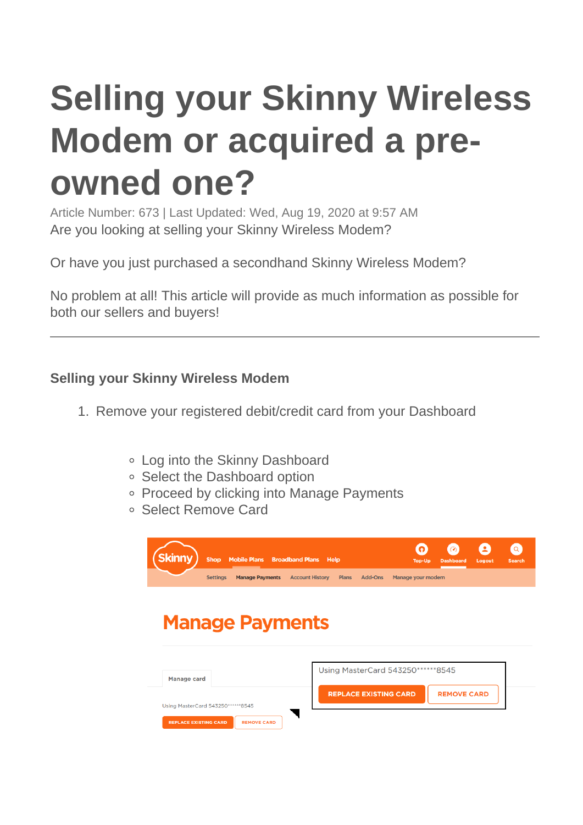# **Selling your Skinny Wireless Modem or acquired a preowned one?**

Article Number: 673 | Last Updated: Wed, Aug 19, 2020 at 9:57 AM Are you looking at selling your Skinny Wireless Modem?

Or have you just purchased a secondhand Skinny Wireless Modem?

No problem at all! This article will provide as much information as possible for both our sellers and buyers!

### **Selling your Skinny Wireless Modem**

- 1. Remove your registered debit/credit card from your Dashboard
	- Log into the Skinny Dashboard
	- Select the Dashboard option
	- Proceed by clicking into Manage Payments
	- Select Remove Card



## **Manage Payments**

| Manage card                                        | Using MasterCard 543250 ****** 8545 |                    |
|----------------------------------------------------|-------------------------------------|--------------------|
| Using MasterCard 543250******8545                  | <b>REPLACE EXISTING CARD</b>        | <b>REMOVE CARD</b> |
| <b>REPLACE EXISTING CARD</b><br><b>REMOVE CARD</b> |                                     |                    |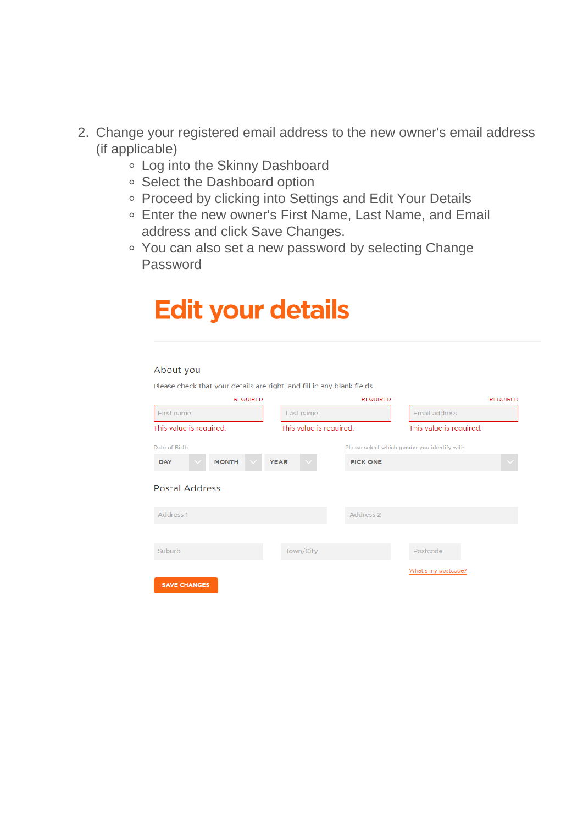- 2. Change your registered email address to the new owner's email address (if applicable)
	- Log into the Skinny Dashboard
	- <sup>o</sup> Select the Dashboard option
	- Proceed by clicking into Settings and Edit Your Details
	- Enter the new owner's First Name, Last Name, and Email address and click Save Changes.
	- You can also set a new password by selecting Change Password

| <b>Edit your details</b>                                                |                         |                      |                                              |                 |  |  |
|-------------------------------------------------------------------------|-------------------------|----------------------|----------------------------------------------|-----------------|--|--|
| About you                                                               |                         |                      |                                              |                 |  |  |
| Please check that your details are right, and fill in any blank fields. |                         |                      |                                              |                 |  |  |
| <b>REQUIRED</b>                                                         |                         | <b>REQUIRED</b>      |                                              | <b>REQUIRED</b> |  |  |
| First name                                                              | Last name               |                      | <b>Email address</b>                         |                 |  |  |
| This value is required.                                                 | This value is required. |                      | This value is required.                      |                 |  |  |
| Date of Birth                                                           |                         |                      | Please select which gender you identify with |                 |  |  |
| <b>MONTH</b><br><b>DAY</b>                                              | <b>YEAR</b>             | <b>PICK ONE</b>      |                                              |                 |  |  |
| <b>Postal Address</b>                                                   |                         |                      |                                              |                 |  |  |
| Address 1                                                               |                         | Address <sub>2</sub> |                                              |                 |  |  |
|                                                                         |                         |                      |                                              |                 |  |  |
| Suburb                                                                  | Town/City               |                      | Postcode                                     |                 |  |  |
| <b>SAVE CHANGES</b>                                                     |                         |                      | What's my postcode?                          |                 |  |  |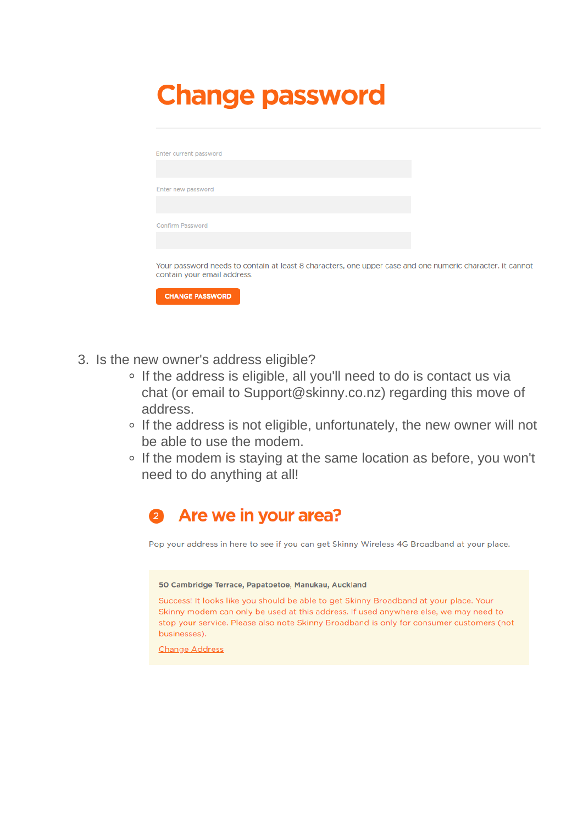# **Change password**

| Enter current password                                                                                                                   |  |
|------------------------------------------------------------------------------------------------------------------------------------------|--|
|                                                                                                                                          |  |
| Enter new password                                                                                                                       |  |
|                                                                                                                                          |  |
| <b>Confirm Password</b>                                                                                                                  |  |
|                                                                                                                                          |  |
| Your password needs to contain at least 8 characters, one upper case and one numeric character. It cannot<br>contain your email address. |  |
| <b>CHANGE PASSWORD</b>                                                                                                                   |  |

- 3. Is the new owner's address eligible?
	- o If the address is eligible, all you'll need to do is contact us via chat (or email to [Support@skinny.co.nz](mailto:Support@skinny.co.nz)) regarding this move of address.
	- If the address is not eligible, unfortunately, the new owner will not be able to use the modem.
	- o If the modem is staying at the same location as before, you won't need to do anything at all!

#### Are we in your area? 2

Pop your address in here to see if you can get Skinny Wireless 4G Broadband at your place.

### 50 Cambridge Terrace, Papatoetoe, Manukau, Auckland

Success! It looks like you should be able to get Skinny Broadband at your place. Your Skinny modem can only be used at this address. If used anywhere else, we may need to stop your service. Please also note Skinny Broadband is only for consumer customers (not businesses).

**Change Address**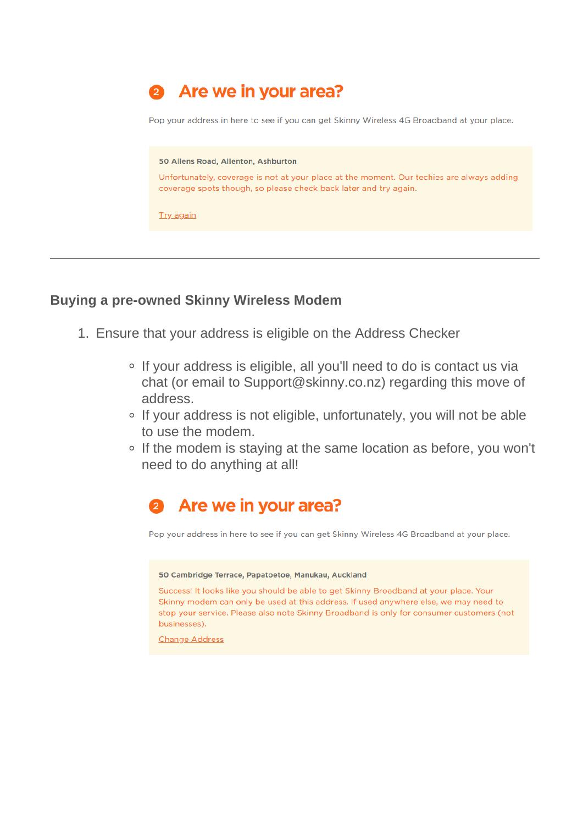

### **Buying a pre-owned Skinny Wireless Modem**

- 1. Ensure that your address is eligible on the [Address Checker](https://www.skinny.co.nz/broadband/)
	- If your address is eligible, all you'll need to do is contact us via chat (or email to [Support@skinny.co.nz](mailto:Support@skinny.co.nz)) regarding this move of address.
	- If your address is not eligible, unfortunately, you will not be able to use the modem.
	- If the modem is staying at the same location as before, you won't need to do anything at all!

## Are we in your area?

Pop your address in here to see if you can get Skinny Wireless 4G Broadband at your place.

### 50 Cambridge Terrace, Papatoetoe, Manukau, Auckland

Success! It looks like you should be able to get Skinny Broadband at your place. Your Skinny modem can only be used at this address. If used anywhere else, we may need to stop your service. Please also note Skinny Broadband is only for consumer customers (not businesses).

**Change Address**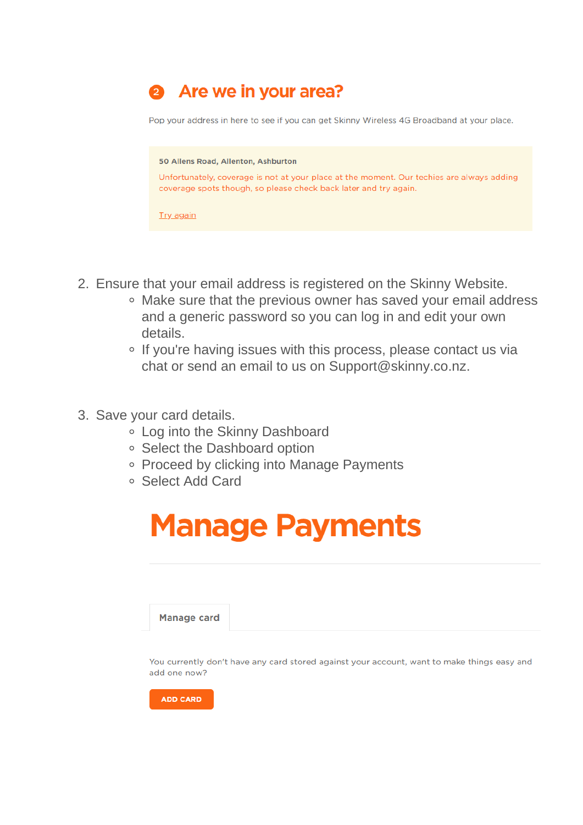

- 2. Ensure that your email address is registered on the Skinny Website.
	- Make sure that the previous owner has saved your email address and a generic password so you can log in and edit your own details.
	- If you're having issues with this process, please contact us via chat or send an email to us on [Support@skinny.co.nz](mailto:Support@skinny.co.nz).
- 3. Save your card details.
	- Log into the Skinny Dashboard
	- Select the Dashboard option
	- Proceed by clicking into Manage Payments
	- Select Add Card

# **Manage Payments**

**Manage card** 

You currently don't have any card stored against your account, want to make things easy and add one now?

**ADD CARD**